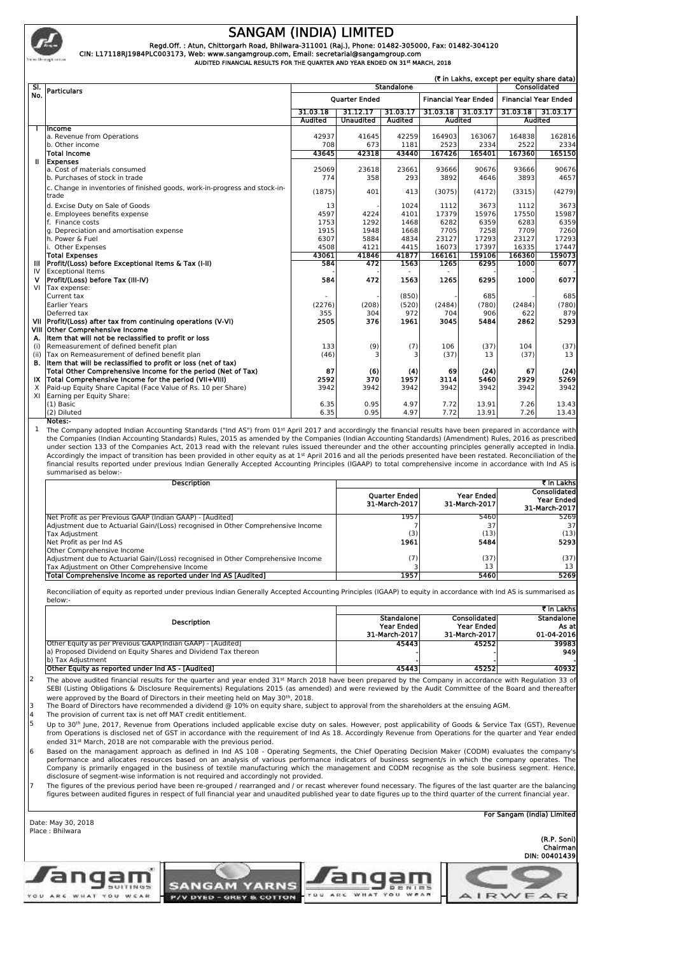

## **SANGAM (INDIA) LIMITED**

Regd.Off. : Atun, Chittorgarh Road, Bhilwara-311001 (Raj.), Phone: 01482-305000, Fax: 01482-304120<br>CIN: L17118RJ1984PLC003173, Web: www.sangamgroup.com, Email: secretarial@sangamgroup.com

 **AUDITED FINANCIAL RESULTS FOR THE QUARTER AND YEAR ENDED ON 31st MARCH, 2018**

|      | (₹ in Lakhs, except per equity share data)                                          |                                   |                  |          |                             |          |                             |          |
|------|-------------------------------------------------------------------------------------|-----------------------------------|------------------|----------|-----------------------------|----------|-----------------------------|----------|
| SI.  | <b>Particulars</b>                                                                  | <b>Standalone</b><br>Consolidated |                  |          |                             |          |                             |          |
| No.  |                                                                                     | <b>Ouarter Ended</b>              |                  |          | <b>Financial Year Ended</b> |          | <b>Financial Year Ended</b> |          |
|      |                                                                                     | 31.03.18                          | 31.12.17         | 31.03.17 | 31.03.18                    | 31.03.17 | 31.03.18                    | 31.03.17 |
|      |                                                                                     |                                   | <b>Unaudited</b> | Audited  | <b>Audited</b>              |          | <b>Audited</b>              |          |
|      | Income                                                                              |                                   |                  |          |                             |          |                             |          |
|      | a. Revenue from Operations                                                          | 42937                             | 41645            | 42259    | 164903                      | 163067   | 164838                      | 162816   |
|      | b. Other income                                                                     | 708                               | 673              | 1181     | 2523                        | 2334     | 2522                        | 2334     |
|      | <b>Total Income</b>                                                                 | 43645                             | 42318            | 43440    | 167426                      | 165401   | 167360                      | 165150   |
| Ш.   | <b>Expenses</b>                                                                     |                                   |                  |          |                             |          |                             |          |
|      | a. Cost of materials consumed                                                       | 25069                             | 23618            | 23661    | 93666                       | 90676    | 93666                       | 90676    |
|      | b. Purchases of stock in trade                                                      | 774                               | 358              | 293      | 3892                        | 4646     | 3893                        | 4657     |
|      | c. Change in inventories of finished goods, work-in-progress and stock-in-<br>trade | (1875)                            | 401              | 413      | (3075)                      | (4172)   | (3315)                      | (4279)   |
|      | d. Excise Duty on Sale of Goods                                                     | 13                                |                  | 1024     | 1112                        | 3673     | 1112                        | 3673     |
|      | e. Employees benefits expense                                                       | 4597                              | 4224             | 4101     | 17379                       | 15976    | 17550                       | 15987    |
|      | f. Finance costs                                                                    | 1753                              | 1292             | 1468     | 6282                        | 6359     | 6283                        | 6359     |
|      | g. Depreciation and amortisation expense                                            | 1915                              | 1948             | 1668     | 7705                        | 7258     | 7709                        | 7260     |
|      | h. Power & Fuel                                                                     | 6307                              | 5884             | 4834     | 23127                       | 17293    | 23127                       | 17293    |
|      | Other Expenses                                                                      | 4508                              | 4121             | 4415     | 16073                       | 17397    | 16335                       | 17447    |
|      | <b>Total Expenses</b>                                                               | 43061                             | 41846            | 41877    | 166161                      | 159106   | 166360                      | 159073   |
| Ш    | Profit/(Loss) before Exceptional Items & Tax (I-II)                                 | 584                               | 472              | 1563     | 1265                        | 6295     | 1000                        | 6077     |
| IV   | <b>Exceptional Items</b>                                                            |                                   |                  |          |                             |          |                             |          |
|      | Profit/(Loss) before Tax (III-IV)                                                   | 584                               | 472              | 1563     | 1265                        | 6295     | 1000                        | 6077     |
| VI   | Tax expense:                                                                        |                                   |                  |          |                             |          |                             |          |
|      | Current tax                                                                         |                                   |                  | (850)    |                             | 685      |                             | 685      |
|      | <b>Earlier Years</b>                                                                | (2276)                            | (208)            | (520)    | (2484)                      | (780)    | (2484)                      | (780)    |
|      | Deferred tax                                                                        | 355                               | 304              | 972      | 704                         | 906      | 622                         | 879      |
| VII  | Profit/(Loss) after tax from continuing operations (V-VI)                           | 2505                              | 376              | 1961     | 3045                        | 5484     | 2862                        | 5293     |
|      | VIII Other Comprehensive Income                                                     |                                   |                  |          |                             |          |                             |          |
| А.   | Item that will not be reclassified to profit or loss                                |                                   |                  |          |                             |          |                             |          |
| (i)  | Remeasurement of defined benefit plan                                               | 133                               | (9)              | (7)      | 106                         | (37)     | 104                         | (37)     |
| (ii) | Tax on Remeasurement of defined benefit plan                                        | (46)                              | З                |          | (37)                        | 13       | (37)                        | 13       |
| в.   | Item that will be reclassified to profit or loss (net of tax)                       |                                   |                  |          |                             |          |                             |          |
|      | Total Other Comprehensive Income for the period (Net of Tax)                        | 87                                | (6)              | (4)      | 69                          | (24)     | 67                          | (24)     |
| IX   | Total Comprehensive Income for the period (VII+VIII)                                | 2592                              | 370              | 1957     | 3114                        | 5460     | 2929                        | 5269     |
| X    | Paid-up Equity Share Capital (Face Value of Rs. 10 per Share)                       | 3942                              | 3942             | 3942     | 3942                        | 3942     | 3942                        | 3942     |
| XI   | Earning per Equity Share:                                                           |                                   |                  |          |                             |          |                             |          |
|      | $(1)$ Basic                                                                         | 6.35                              | 0.95             | 4.97     | 7.72                        | 13.91    | 7.26                        | 13.43    |
|      | (2) Diluted                                                                         | 6.35                              | 0.95             | 4.97     | 7.72                        | 13.91    | 7.26                        | 13.43    |

**Notes:-** 1 The Company adopted Indian Accounting Standards ("Ind AS") from 01st April 2017 and accordingly the financial results have been prepared in accordance with the Companies (Indian Accounting Standards) Rules, 2015 as amended by the Companies (Indian Accounting Standards) (Amendment) Rules, 2016 as prescribed under section 133 of the Companies Act, 2013 read with the relevant rules issued thereunder and the other accounting principles generally accepted in India.<br>Accordingly the impact of transition has been provided in other e summarised as below:-

| Description                                                                      | ₹ In Lakhsi                           |                             |                                                    |  |
|----------------------------------------------------------------------------------|---------------------------------------|-----------------------------|----------------------------------------------------|--|
|                                                                                  | <b>Ouarter Ended</b><br>31-March-2017 | Year Ended<br>31-March-2017 | Consolidated<br><b>Year Ended</b><br>31-March-2017 |  |
| Net Profit as per Previous GAAP (Indian GAAP) - [Audited]                        | 1957                                  | 5460                        | 5269                                               |  |
| Adjustment due to Actuarial Gain/(Loss) recognised in Other Comprehensive Income |                                       |                             | 37                                                 |  |
| Tax Adjustment                                                                   | (3)                                   | (13)                        | (13)                                               |  |
| Net Profit as per Ind AS                                                         | 1961                                  | 5484                        | 5293                                               |  |
| Other Comprehensive Income                                                       |                                       |                             |                                                    |  |
| Adjustment due to Actuarial Gain/(Loss) recognised in Other Comprehensive Income | (7)                                   | (37)                        | (37)                                               |  |
| Tax Adjustment on Other Comprehensive Income                                     |                                       | 13                          | 13                                                 |  |
| Total Comprehensive Income as reported under Ind AS [Audited]                    | 1957                                  | 5460                        | 5269                                               |  |

Reconciliation of equity as reported under previous Indian Generally Accepted Accounting Principles (IGAAP) to equity in accordance with Ind AS is summarised as below:-

| <b>Description</b>                                                                                                                                 | Standalone<br><b>Year Ended</b><br>31-March-2017 | Consolidated<br>Year Ended<br>31-March-2017 | र in Lakhsi<br>Standalonel<br>As atl<br>01-04-2016 |
|----------------------------------------------------------------------------------------------------------------------------------------------------|--------------------------------------------------|---------------------------------------------|----------------------------------------------------|
| [Other Equity as per Previous GAAP(Indian GAAP) - [Audited]<br>a) Proposed Dividend on Equity Shares and Dividend Tax thereon<br>b) Tax Adiustment | 45443                                            | 45252                                       | 39983<br>9491                                      |
| Other Equity as reported under Ind AS - [Audited]                                                                                                  | 45443                                            | 45252                                       | 40932                                              |

 $2$  The above audited financial results for the quarter and year ended 31st March 2018 have been prepared by the Company in accordance with Regulation 33 of SEBI (Listing Obligations & Disclosure Requirements) Regulations 2015 (as amended) and were reviewed by the Audit Committee of the Board and thereafter

were approved by the Board of Directors in their meeting held on May 30<sup>th</sup>, 2018.<br>3 The Board of Directors have recommended a dividend @ 10% on equity share, subject to approval from the shareholders at the ensuing AGM. 4 The provision of current tax is net off MAT credit entitlement.

Up to 30<sup>th</sup> June, 2017, Revenue from Operations included applicable excise duty on sales. However, post applicability of Goods & Service Tax (GST), Revenue from Operations is disclosed net of GST in accordance with the re ended 31st March, 2018 are not comparable with the previous period.

Based on the managament approach as defined in Ind AS 108 - Operating Segments, the Chief Operating Decision Maker (CODM) evaluates the company's<br>performance and allocates resources based on an analysis of various performa Company is primarily engaged in the business of textile manufacturing which the management and CODM recognise as the sole business segment. Hence disclosure of segment-wise information is not required and accordingly not provided.

7 The figures of the previous period have been re-grouped / rearranged and / or recast wherever found necessary. The figures of the last quarter are the balancing figures between audited figures in respect of full financial year and unaudited published year to date figures up to the third quarter of the current financial year.

Date: May 30, 2018 Place : Bhilwara

**For Sangam (India) Limited**

**(R.P. Soni) Chairman**

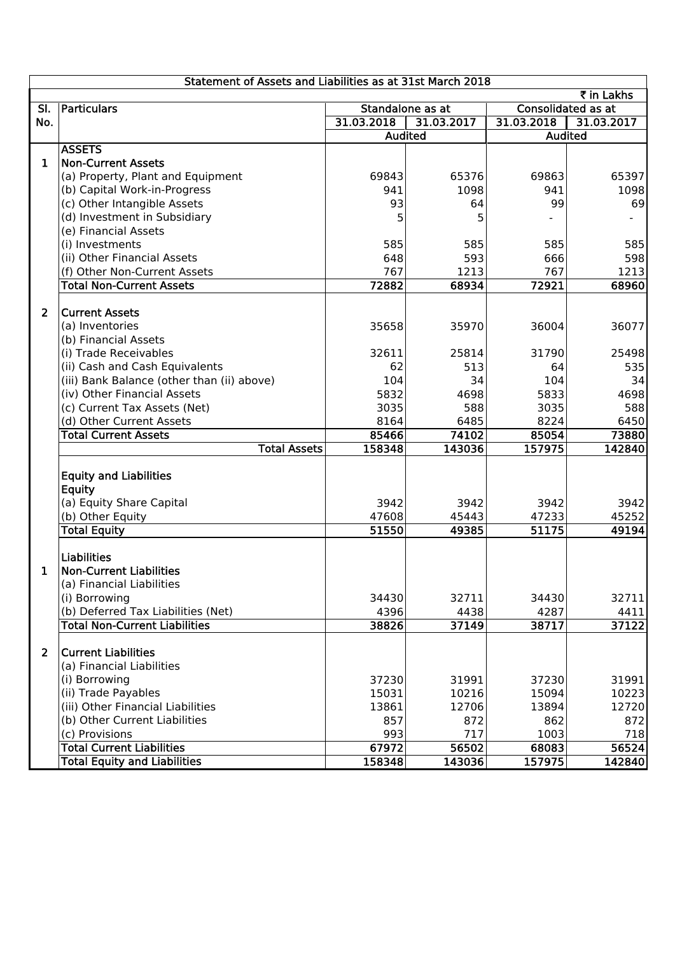|                               |                                                                                                                                                                                                                                                                                                                                                                                                                                                                                                                                                                                                                                                                                                                                                                                                                                                                                                                                                                                                                                                                                                                                                                               |                                                                                                                                                                                                                                                               |                                                                                                                                                                                                                                                                                                      | ₹ in Lakhs                                                                                                                                                                                                                                                                                                                               |  |
|-------------------------------|-------------------------------------------------------------------------------------------------------------------------------------------------------------------------------------------------------------------------------------------------------------------------------------------------------------------------------------------------------------------------------------------------------------------------------------------------------------------------------------------------------------------------------------------------------------------------------------------------------------------------------------------------------------------------------------------------------------------------------------------------------------------------------------------------------------------------------------------------------------------------------------------------------------------------------------------------------------------------------------------------------------------------------------------------------------------------------------------------------------------------------------------------------------------------------|---------------------------------------------------------------------------------------------------------------------------------------------------------------------------------------------------------------------------------------------------------------|------------------------------------------------------------------------------------------------------------------------------------------------------------------------------------------------------------------------------------------------------------------------------------------------------|------------------------------------------------------------------------------------------------------------------------------------------------------------------------------------------------------------------------------------------------------------------------------------------------------------------------------------------|--|
| Particulars                   |                                                                                                                                                                                                                                                                                                                                                                                                                                                                                                                                                                                                                                                                                                                                                                                                                                                                                                                                                                                                                                                                                                                                                                               |                                                                                                                                                                                                                                                               | <b>Consolidated as at</b>                                                                                                                                                                                                                                                                            |                                                                                                                                                                                                                                                                                                                                          |  |
|                               |                                                                                                                                                                                                                                                                                                                                                                                                                                                                                                                                                                                                                                                                                                                                                                                                                                                                                                                                                                                                                                                                                                                                                                               |                                                                                                                                                                                                                                                               |                                                                                                                                                                                                                                                                                                      | 31.03.2017                                                                                                                                                                                                                                                                                                                               |  |
|                               |                                                                                                                                                                                                                                                                                                                                                                                                                                                                                                                                                                                                                                                                                                                                                                                                                                                                                                                                                                                                                                                                                                                                                                               |                                                                                                                                                                                                                                                               |                                                                                                                                                                                                                                                                                                      |                                                                                                                                                                                                                                                                                                                                          |  |
|                               |                                                                                                                                                                                                                                                                                                                                                                                                                                                                                                                                                                                                                                                                                                                                                                                                                                                                                                                                                                                                                                                                                                                                                                               |                                                                                                                                                                                                                                                               |                                                                                                                                                                                                                                                                                                      |                                                                                                                                                                                                                                                                                                                                          |  |
|                               |                                                                                                                                                                                                                                                                                                                                                                                                                                                                                                                                                                                                                                                                                                                                                                                                                                                                                                                                                                                                                                                                                                                                                                               |                                                                                                                                                                                                                                                               |                                                                                                                                                                                                                                                                                                      |                                                                                                                                                                                                                                                                                                                                          |  |
|                               |                                                                                                                                                                                                                                                                                                                                                                                                                                                                                                                                                                                                                                                                                                                                                                                                                                                                                                                                                                                                                                                                                                                                                                               |                                                                                                                                                                                                                                                               |                                                                                                                                                                                                                                                                                                      | 65397                                                                                                                                                                                                                                                                                                                                    |  |
|                               |                                                                                                                                                                                                                                                                                                                                                                                                                                                                                                                                                                                                                                                                                                                                                                                                                                                                                                                                                                                                                                                                                                                                                                               |                                                                                                                                                                                                                                                               |                                                                                                                                                                                                                                                                                                      | 1098                                                                                                                                                                                                                                                                                                                                     |  |
|                               |                                                                                                                                                                                                                                                                                                                                                                                                                                                                                                                                                                                                                                                                                                                                                                                                                                                                                                                                                                                                                                                                                                                                                                               |                                                                                                                                                                                                                                                               |                                                                                                                                                                                                                                                                                                      | 69                                                                                                                                                                                                                                                                                                                                       |  |
|                               |                                                                                                                                                                                                                                                                                                                                                                                                                                                                                                                                                                                                                                                                                                                                                                                                                                                                                                                                                                                                                                                                                                                                                                               |                                                                                                                                                                                                                                                               |                                                                                                                                                                                                                                                                                                      |                                                                                                                                                                                                                                                                                                                                          |  |
|                               |                                                                                                                                                                                                                                                                                                                                                                                                                                                                                                                                                                                                                                                                                                                                                                                                                                                                                                                                                                                                                                                                                                                                                                               |                                                                                                                                                                                                                                                               |                                                                                                                                                                                                                                                                                                      |                                                                                                                                                                                                                                                                                                                                          |  |
|                               |                                                                                                                                                                                                                                                                                                                                                                                                                                                                                                                                                                                                                                                                                                                                                                                                                                                                                                                                                                                                                                                                                                                                                                               |                                                                                                                                                                                                                                                               |                                                                                                                                                                                                                                                                                                      | 585                                                                                                                                                                                                                                                                                                                                      |  |
|                               |                                                                                                                                                                                                                                                                                                                                                                                                                                                                                                                                                                                                                                                                                                                                                                                                                                                                                                                                                                                                                                                                                                                                                                               |                                                                                                                                                                                                                                                               |                                                                                                                                                                                                                                                                                                      | 598                                                                                                                                                                                                                                                                                                                                      |  |
|                               |                                                                                                                                                                                                                                                                                                                                                                                                                                                                                                                                                                                                                                                                                                                                                                                                                                                                                                                                                                                                                                                                                                                                                                               |                                                                                                                                                                                                                                                               |                                                                                                                                                                                                                                                                                                      | 1213                                                                                                                                                                                                                                                                                                                                     |  |
|                               |                                                                                                                                                                                                                                                                                                                                                                                                                                                                                                                                                                                                                                                                                                                                                                                                                                                                                                                                                                                                                                                                                                                                                                               |                                                                                                                                                                                                                                                               |                                                                                                                                                                                                                                                                                                      | 68960                                                                                                                                                                                                                                                                                                                                    |  |
|                               |                                                                                                                                                                                                                                                                                                                                                                                                                                                                                                                                                                                                                                                                                                                                                                                                                                                                                                                                                                                                                                                                                                                                                                               |                                                                                                                                                                                                                                                               |                                                                                                                                                                                                                                                                                                      |                                                                                                                                                                                                                                                                                                                                          |  |
|                               |                                                                                                                                                                                                                                                                                                                                                                                                                                                                                                                                                                                                                                                                                                                                                                                                                                                                                                                                                                                                                                                                                                                                                                               |                                                                                                                                                                                                                                                               |                                                                                                                                                                                                                                                                                                      |                                                                                                                                                                                                                                                                                                                                          |  |
|                               |                                                                                                                                                                                                                                                                                                                                                                                                                                                                                                                                                                                                                                                                                                                                                                                                                                                                                                                                                                                                                                                                                                                                                                               |                                                                                                                                                                                                                                                               |                                                                                                                                                                                                                                                                                                      | 36077                                                                                                                                                                                                                                                                                                                                    |  |
|                               |                                                                                                                                                                                                                                                                                                                                                                                                                                                                                                                                                                                                                                                                                                                                                                                                                                                                                                                                                                                                                                                                                                                                                                               |                                                                                                                                                                                                                                                               |                                                                                                                                                                                                                                                                                                      |                                                                                                                                                                                                                                                                                                                                          |  |
|                               |                                                                                                                                                                                                                                                                                                                                                                                                                                                                                                                                                                                                                                                                                                                                                                                                                                                                                                                                                                                                                                                                                                                                                                               |                                                                                                                                                                                                                                                               |                                                                                                                                                                                                                                                                                                      | 25498                                                                                                                                                                                                                                                                                                                                    |  |
|                               |                                                                                                                                                                                                                                                                                                                                                                                                                                                                                                                                                                                                                                                                                                                                                                                                                                                                                                                                                                                                                                                                                                                                                                               |                                                                                                                                                                                                                                                               |                                                                                                                                                                                                                                                                                                      | 535                                                                                                                                                                                                                                                                                                                                      |  |
|                               |                                                                                                                                                                                                                                                                                                                                                                                                                                                                                                                                                                                                                                                                                                                                                                                                                                                                                                                                                                                                                                                                                                                                                                               |                                                                                                                                                                                                                                                               |                                                                                                                                                                                                                                                                                                      | 34                                                                                                                                                                                                                                                                                                                                       |  |
|                               |                                                                                                                                                                                                                                                                                                                                                                                                                                                                                                                                                                                                                                                                                                                                                                                                                                                                                                                                                                                                                                                                                                                                                                               |                                                                                                                                                                                                                                                               |                                                                                                                                                                                                                                                                                                      | 4698                                                                                                                                                                                                                                                                                                                                     |  |
|                               |                                                                                                                                                                                                                                                                                                                                                                                                                                                                                                                                                                                                                                                                                                                                                                                                                                                                                                                                                                                                                                                                                                                                                                               |                                                                                                                                                                                                                                                               |                                                                                                                                                                                                                                                                                                      | 588                                                                                                                                                                                                                                                                                                                                      |  |
|                               |                                                                                                                                                                                                                                                                                                                                                                                                                                                                                                                                                                                                                                                                                                                                                                                                                                                                                                                                                                                                                                                                                                                                                                               |                                                                                                                                                                                                                                                               |                                                                                                                                                                                                                                                                                                      | 6450                                                                                                                                                                                                                                                                                                                                     |  |
|                               |                                                                                                                                                                                                                                                                                                                                                                                                                                                                                                                                                                                                                                                                                                                                                                                                                                                                                                                                                                                                                                                                                                                                                                               |                                                                                                                                                                                                                                                               |                                                                                                                                                                                                                                                                                                      | 73880                                                                                                                                                                                                                                                                                                                                    |  |
|                               |                                                                                                                                                                                                                                                                                                                                                                                                                                                                                                                                                                                                                                                                                                                                                                                                                                                                                                                                                                                                                                                                                                                                                                               |                                                                                                                                                                                                                                                               |                                                                                                                                                                                                                                                                                                      | 142840                                                                                                                                                                                                                                                                                                                                   |  |
|                               |                                                                                                                                                                                                                                                                                                                                                                                                                                                                                                                                                                                                                                                                                                                                                                                                                                                                                                                                                                                                                                                                                                                                                                               |                                                                                                                                                                                                                                                               |                                                                                                                                                                                                                                                                                                      |                                                                                                                                                                                                                                                                                                                                          |  |
|                               |                                                                                                                                                                                                                                                                                                                                                                                                                                                                                                                                                                                                                                                                                                                                                                                                                                                                                                                                                                                                                                                                                                                                                                               |                                                                                                                                                                                                                                                               |                                                                                                                                                                                                                                                                                                      |                                                                                                                                                                                                                                                                                                                                          |  |
|                               |                                                                                                                                                                                                                                                                                                                                                                                                                                                                                                                                                                                                                                                                                                                                                                                                                                                                                                                                                                                                                                                                                                                                                                               |                                                                                                                                                                                                                                                               |                                                                                                                                                                                                                                                                                                      | 3942                                                                                                                                                                                                                                                                                                                                     |  |
|                               |                                                                                                                                                                                                                                                                                                                                                                                                                                                                                                                                                                                                                                                                                                                                                                                                                                                                                                                                                                                                                                                                                                                                                                               |                                                                                                                                                                                                                                                               |                                                                                                                                                                                                                                                                                                      |                                                                                                                                                                                                                                                                                                                                          |  |
|                               |                                                                                                                                                                                                                                                                                                                                                                                                                                                                                                                                                                                                                                                                                                                                                                                                                                                                                                                                                                                                                                                                                                                                                                               |                                                                                                                                                                                                                                                               |                                                                                                                                                                                                                                                                                                      | 45252<br>49194                                                                                                                                                                                                                                                                                                                           |  |
|                               |                                                                                                                                                                                                                                                                                                                                                                                                                                                                                                                                                                                                                                                                                                                                                                                                                                                                                                                                                                                                                                                                                                                                                                               |                                                                                                                                                                                                                                                               |                                                                                                                                                                                                                                                                                                      |                                                                                                                                                                                                                                                                                                                                          |  |
|                               |                                                                                                                                                                                                                                                                                                                                                                                                                                                                                                                                                                                                                                                                                                                                                                                                                                                                                                                                                                                                                                                                                                                                                                               |                                                                                                                                                                                                                                                               |                                                                                                                                                                                                                                                                                                      |                                                                                                                                                                                                                                                                                                                                          |  |
|                               |                                                                                                                                                                                                                                                                                                                                                                                                                                                                                                                                                                                                                                                                                                                                                                                                                                                                                                                                                                                                                                                                                                                                                                               |                                                                                                                                                                                                                                                               |                                                                                                                                                                                                                                                                                                      |                                                                                                                                                                                                                                                                                                                                          |  |
|                               |                                                                                                                                                                                                                                                                                                                                                                                                                                                                                                                                                                                                                                                                                                                                                                                                                                                                                                                                                                                                                                                                                                                                                                               |                                                                                                                                                                                                                                                               |                                                                                                                                                                                                                                                                                                      |                                                                                                                                                                                                                                                                                                                                          |  |
|                               |                                                                                                                                                                                                                                                                                                                                                                                                                                                                                                                                                                                                                                                                                                                                                                                                                                                                                                                                                                                                                                                                                                                                                                               |                                                                                                                                                                                                                                                               |                                                                                                                                                                                                                                                                                                      | 32711                                                                                                                                                                                                                                                                                                                                    |  |
|                               |                                                                                                                                                                                                                                                                                                                                                                                                                                                                                                                                                                                                                                                                                                                                                                                                                                                                                                                                                                                                                                                                                                                                                                               |                                                                                                                                                                                                                                                               |                                                                                                                                                                                                                                                                                                      | 4411                                                                                                                                                                                                                                                                                                                                     |  |
|                               |                                                                                                                                                                                                                                                                                                                                                                                                                                                                                                                                                                                                                                                                                                                                                                                                                                                                                                                                                                                                                                                                                                                                                                               |                                                                                                                                                                                                                                                               |                                                                                                                                                                                                                                                                                                      | 37122                                                                                                                                                                                                                                                                                                                                    |  |
|                               |                                                                                                                                                                                                                                                                                                                                                                                                                                                                                                                                                                                                                                                                                                                                                                                                                                                                                                                                                                                                                                                                                                                                                                               |                                                                                                                                                                                                                                                               |                                                                                                                                                                                                                                                                                                      |                                                                                                                                                                                                                                                                                                                                          |  |
| <b>Current Liabilities</b>    |                                                                                                                                                                                                                                                                                                                                                                                                                                                                                                                                                                                                                                                                                                                                                                                                                                                                                                                                                                                                                                                                                                                                                                               |                                                                                                                                                                                                                                                               |                                                                                                                                                                                                                                                                                                      |                                                                                                                                                                                                                                                                                                                                          |  |
|                               |                                                                                                                                                                                                                                                                                                                                                                                                                                                                                                                                                                                                                                                                                                                                                                                                                                                                                                                                                                                                                                                                                                                                                                               |                                                                                                                                                                                                                                                               |                                                                                                                                                                                                                                                                                                      |                                                                                                                                                                                                                                                                                                                                          |  |
|                               |                                                                                                                                                                                                                                                                                                                                                                                                                                                                                                                                                                                                                                                                                                                                                                                                                                                                                                                                                                                                                                                                                                                                                                               |                                                                                                                                                                                                                                                               |                                                                                                                                                                                                                                                                                                      | 31991                                                                                                                                                                                                                                                                                                                                    |  |
|                               |                                                                                                                                                                                                                                                                                                                                                                                                                                                                                                                                                                                                                                                                                                                                                                                                                                                                                                                                                                                                                                                                                                                                                                               |                                                                                                                                                                                                                                                               |                                                                                                                                                                                                                                                                                                      | 10223                                                                                                                                                                                                                                                                                                                                    |  |
|                               |                                                                                                                                                                                                                                                                                                                                                                                                                                                                                                                                                                                                                                                                                                                                                                                                                                                                                                                                                                                                                                                                                                                                                                               |                                                                                                                                                                                                                                                               |                                                                                                                                                                                                                                                                                                      | 12720                                                                                                                                                                                                                                                                                                                                    |  |
| (b) Other Current Liabilities |                                                                                                                                                                                                                                                                                                                                                                                                                                                                                                                                                                                                                                                                                                                                                                                                                                                                                                                                                                                                                                                                                                                                                                               |                                                                                                                                                                                                                                                               |                                                                                                                                                                                                                                                                                                      | 872                                                                                                                                                                                                                                                                                                                                      |  |
|                               |                                                                                                                                                                                                                                                                                                                                                                                                                                                                                                                                                                                                                                                                                                                                                                                                                                                                                                                                                                                                                                                                                                                                                                               |                                                                                                                                                                                                                                                               |                                                                                                                                                                                                                                                                                                      | 718                                                                                                                                                                                                                                                                                                                                      |  |
|                               |                                                                                                                                                                                                                                                                                                                                                                                                                                                                                                                                                                                                                                                                                                                                                                                                                                                                                                                                                                                                                                                                                                                                                                               |                                                                                                                                                                                                                                                               |                                                                                                                                                                                                                                                                                                      | 56524                                                                                                                                                                                                                                                                                                                                    |  |
|                               |                                                                                                                                                                                                                                                                                                                                                                                                                                                                                                                                                                                                                                                                                                                                                                                                                                                                                                                                                                                                                                                                                                                                                                               |                                                                                                                                                                                                                                                               |                                                                                                                                                                                                                                                                                                      | 142840                                                                                                                                                                                                                                                                                                                                   |  |
|                               | <b>ASSETS</b><br><b>Non-Current Assets</b><br>(a) Property, Plant and Equipment<br>(b) Capital Work-in-Progress<br>(c) Other Intangible Assets<br>(d) Investment in Subsidiary<br>(e) Financial Assets<br>(i) Investments<br>(ii) Other Financial Assets<br>(f) Other Non-Current Assets<br><b>Total Non-Current Assets</b><br><b>Current Assets</b><br>(a) Inventories<br>(b) Financial Assets<br>(i) Trade Receivables<br>(ii) Cash and Cash Equivalents<br>(iii) Bank Balance (other than (ii) above)<br>(iv) Other Financial Assets<br>(c) Current Tax Assets (Net)<br>(d) Other Current Assets<br><b>Total Current Assets</b><br><b>Total Assets</b><br><b>Equity and Liabilities</b><br><b>Equity</b><br>(a) Equity Share Capital<br>(b) Other Equity<br><b>Total Equity</b><br><b>Liabilities</b><br><b>Non-Current Liabilities</b><br>(a) Financial Liabilities<br>(i) Borrowing<br>(b) Deferred Tax Liabilities (Net)<br><b>Total Non-Current Liabilities</b><br>(a) Financial Liabilities<br>(i) Borrowing<br>(ii) Trade Payables<br>(iii) Other Financial Liabilities<br>(c) Provisions<br><b>Total Current Liabilities</b><br><b>Total Equity and Liabilities</b> | 31.03.2018<br>69843<br>941<br>93<br>5<br>585<br>648<br>767<br>72882<br>35658<br>32611<br>62<br>104<br>5832<br>3035<br>8164<br>85466<br>158348<br>3942<br>47608<br>51550<br>34430<br>4396<br>38826<br>37230<br>15031<br>13861<br>857<br>993<br>67972<br>158348 | Standalone as at<br>31.03.2017<br><b>Audited</b><br>65376<br>1098<br>64<br>5<br>585<br>593<br>1213<br>68934<br>35970<br>25814<br>513<br>34<br>4698<br>588<br>6485<br>74102<br>143036<br>3942<br>45443<br>49385<br>32711<br>4438<br>37149<br>31991<br>10216<br>12706<br>872<br>717<br>56502<br>143036 | Statement of Assets and Liabilities as at 31st March 2018<br>31.03.2018<br><b>Audited</b><br>69863<br>941<br>99<br>585<br>666<br>767<br>72921<br>36004<br>31790<br>64<br>104<br>5833<br>3035<br>8224<br>85054<br>157975<br>3942<br>47233<br>51175<br>34430<br>4287<br>38717<br>37230<br>15094<br>13894<br>862<br>1003<br>68083<br>157975 |  |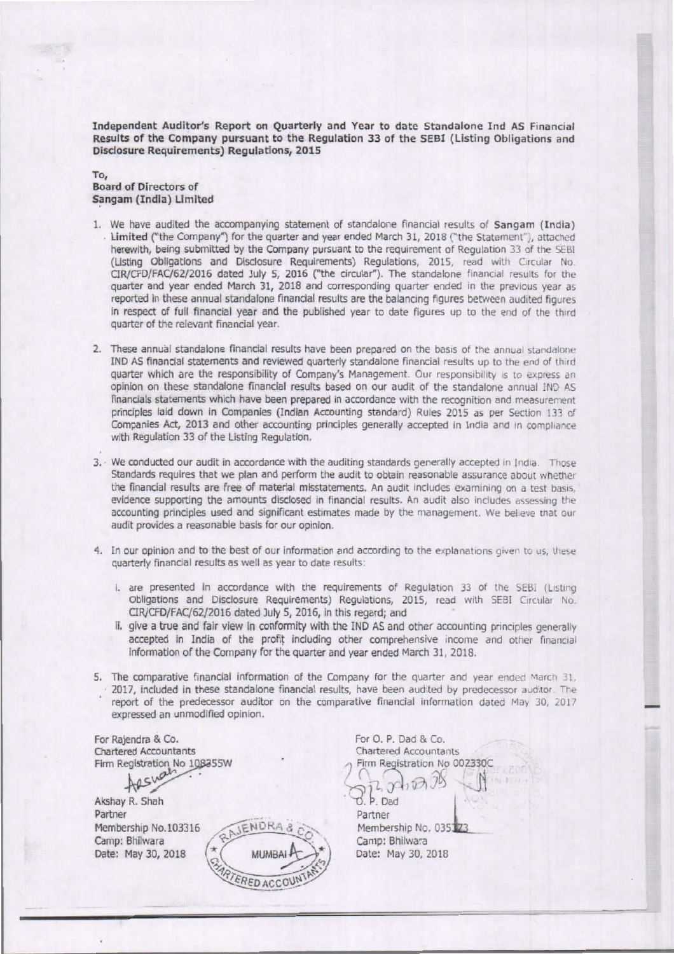Independent Auditor's Report on Quarterly and Year to date Standalone Ind AS Financial Results of the Company pursuant to the Regulation 33 of the SEBI (Listing Obligations and Disclosure Requirements) Regulations, 2015

To, Board of Directors of Sangam (India) Limited

- 1. We have audited the accompanying statement of standalone financial results of Sangam (India) . Limited ("the Company") for the quarter and year ended March 31, 2018 ("the Statement"), attached herewith, being submitted by the Company pursuant to the requirement of Requlation 33 of the SEBI (Listing Obligations and Disclosure Requirements) Regulations, 2015, read with Circular No. CIR/CFD/FAC/62/2016 dated July 5, 2016 ("the circular"). The standalone financial results for the quarter and year ended March 31, 2018 and corresponding quarter ended in the previous year as reported in these annual standalone financial results are the balancing figures between audited figures in respect of full financial year and the published year to date figures up to the end of the third quarter of the relevant financial year.
- 2. These annual standalone financial results have been prepared on the basis of the annual standalone IND AS financial statements and reviewed quarterly standalone financial results up to the end of third quarter which are the responsibility of Company's Management. Our responsibility is to express an opinion on these standalone financial results based on our audit of the standalone annual IND AS financials statements which have been prepared in accordance with the recognition and measurement principles laid down in Companies (Indian Accounting standard) Rules 2015 as per Section 133 of Companies Act, 2013 and other accounting principles generally accepted in India and in compliance with Regulation 33 of the Listing Regulation.
- 3. · We conducted our audit in accordance with the auditing standards generally accepted in India. Those Standards requires that we plan and perform the audit to obtain reasonable assurance about whether the financial results are free of material misstatements. An audit includes examining on a test basis, evidence supporting the amounts disclosed in financial results. An audit also includes assessing the accounting principles used and significant estimates made by the management. We believe that our audit provides a reasonable basis for our opinion.
- 4. In our opinion and to the best of our information and according to the explanations given to us, these quarterly financial results as well as year to date results:
	- I. are presented in accordance with the requirements of Regulation 33 of the SEBI (Listing Obligations and Disclosure Requirements) Regulations, 2015, read with SEBI Circular No. CIR/CFD/FAC/62/2016 dated July 5, 2016, in this regard; and
	- ii. give a true and fair view in conformity with the IND AS and other accounting principles generally accepted in India of the profit including other comprehensive income and other financial Information of the Company for the Quarter and year ended March 31, 2018,
- 5. The comparative financial information of the Company for the quarter and year ended March 31,  $+2017$ , included in these standalone financial results, have been audited by predecessor auditor. The report of the predecessor auditor on the comparative financial information dated May 30, 2017 The comparative financial information of the Company for the quarter and year ended March 31,<br>2017, included in these standalone financial results, have been audited by predecessor auditor. The<br>report of the predecessor au

For Rajendra & Co. Chartered Accountants Firm Registration No 108355W

Arshall

Akshay R. Shah Partner Membership No.103316 Camp: Bhllwara Date: May 30, 2018



For O. p, Dad & Co. Chartered Accountants Firm Registration No 002330C<br>  $\bigcirc$  2,  $\bigcirc$  1  $\bigcirc$   $\bigcirc$   $\bigcirc$ <br>  $\bigcirc$  P. Dad<br>
Partner  $\sqrt{12}$   $\sqrt{100}$   $\sqrt{1}$ 

d. P. Dad Partner Membership No. 035323 Camp: Bhllwara Date: May 30, 2018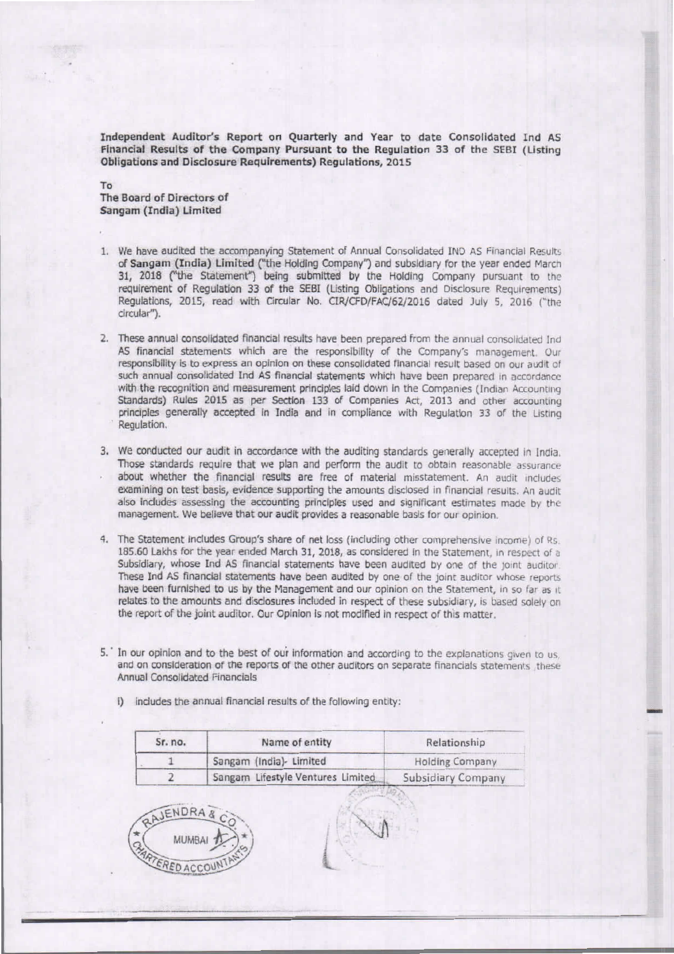Independent Auditor's Report on Quarterly and Year to date Consolidated Ind AS Financial Results of the Company Pursuant to the Regulation 33 of the SEBI (Listing Obligations and Disclosure Requirements) Regulations, 2015

To The Board of Directors of Sangam (India) limited

- 1. We have audited the accompanying Statement of Annual Consolidated IND AS Financial Results of Sangam (India) Limited ("the Holding Company") and subsidiary for the year ended March 31, 2018 ("the Statement") being submitted by the Holding Company pursuant to the requirement of Regulation 33 of the SEBI (Listing Obligations and Disclosure Requirements) Regulations, 2015, read with Circular No. CIR/CFD/FAC/62/2016 dated July 5, 2016 ("the drcular").
- 2. These annual consolidated financial results have been prepared from the annual consolidated Ind AS financial statements which are the responsibility of the Company's management. Our responsibility is to express an opinion on these consolidated financial result based on our audit of such annual consolidated Ind AS financial statements which have been prepared in accordance with the recognition and measurement principles laid down in the Companies (Indian Accounting Standards) Rules 2015 as per Section 133 of Companies Act, 2013 and other accounting principles generally accepted in India and in compliance with Regulation 33 of the Listing Regulation.
- 3. We conducted our audit in accordance with the auditing standards generally accepted in India. Those standards require that we plan and perform the audit to obtain reasonable assurance about whether the financial results are free of material misstatement. An audit includes examining on test basis, evidence supporting the amounts disclosed in financial results. An audit also includes assessing the accounting principles used and significant estimates made by the management. We believe that our audit provides a reasonable basis for our opinion.
- 4. The Statement includes Group's share of net loss (including other comprehensive income) of Rs. 185.60 Lakhs for the year ended March 31, 2018, as considered in the Statement. In respect of  $\alpha$ Subsidiary, whose Ind AS financial statements have been audited by one of the joint auditor. These Ind AS financial statements have been audited by one of the joint auditor whose reports have been furnished to us by the Management and our opinion on the Statement, in so far as it relates to the amounts and disclosures included in respect of these subsidiary, is based solely on the report of the joint auditor. Our Opinion is not modified in respect of this matter.
- 5.' In our opinion and to the best of our information and according to the explanations given to us, and on consideration of the reports of the other auditors on separate financials statements, these Annual Consolidated Financials

-

I) includes the annual financial results of the following entity:

| Sr. no. | Name of entity                    | Relationship           |
|---------|-----------------------------------|------------------------|
|         | Sangam (India)- Limited           | <b>Holding Company</b> |
|         | Sangam Lifestyle Ventures Limited | Subsidiary Company     |